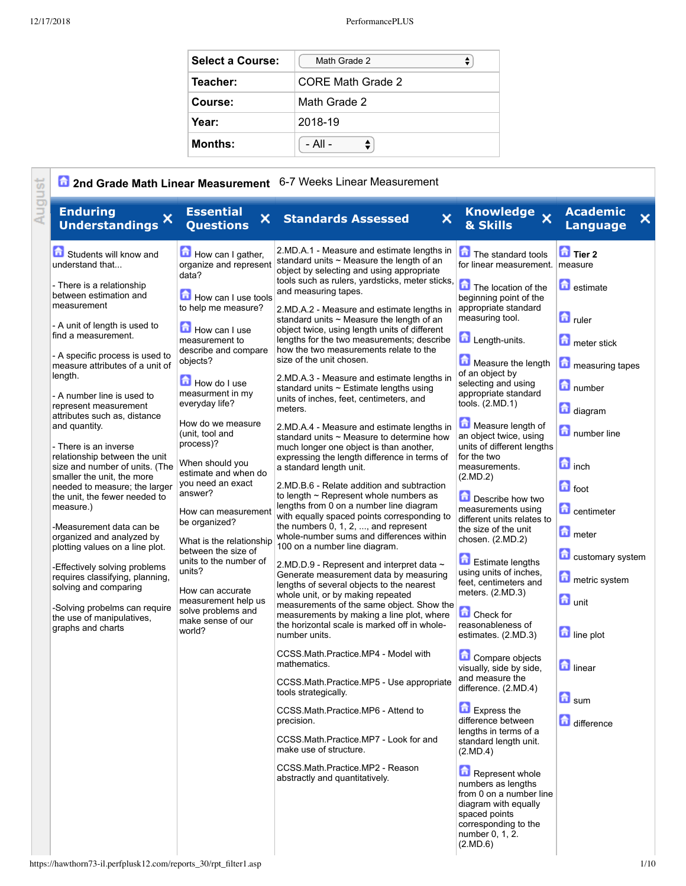| <b>Select a Course:</b> | Math Grade 2      |
|-------------------------|-------------------|
| Teacher:                | CORE Math Grade 2 |
| Course:                 | Math Grade 2      |
| Year:                   | 2018-19           |
| <b>Months:</b>          | - All -           |

| August<br><b>Enduring</b><br><b>Essential</b><br>×<br>×<br><b>Understandings</b><br><b>Questions</b>                                                                                                                                                                                                                                                                                                                                                                                                                                                                                                                                                                                                                                                                                                                                                                                                                                                                                                                                                                                                                                                                                                                                                                                                                                                                                                                                                                                                              | $\boldsymbol{\mathsf{x}}$<br><b>Standards Assessed</b>                                                                                                                                                                                                                                                                                                                                                                                                                                                                                                                                                                                                                                                                                                                                                                                                                                                                                                                                                                                                                                                                                                                                                                                                                                                                                                                                                                                                                                                                                                                                                                                                                                                                                                                               | Knowledge X<br>& Skills                                                                                                                                                                                                                                                                                                                                                                                                                                                                                                                                                                                                                                                                                                                                                                                                                                                                                                                                                                                                                  | <b>Academic</b><br>$\overline{\mathsf{x}}$<br><b>Language</b>                                                                                                                                                                                                                                                                               |
|-------------------------------------------------------------------------------------------------------------------------------------------------------------------------------------------------------------------------------------------------------------------------------------------------------------------------------------------------------------------------------------------------------------------------------------------------------------------------------------------------------------------------------------------------------------------------------------------------------------------------------------------------------------------------------------------------------------------------------------------------------------------------------------------------------------------------------------------------------------------------------------------------------------------------------------------------------------------------------------------------------------------------------------------------------------------------------------------------------------------------------------------------------------------------------------------------------------------------------------------------------------------------------------------------------------------------------------------------------------------------------------------------------------------------------------------------------------------------------------------------------------------|--------------------------------------------------------------------------------------------------------------------------------------------------------------------------------------------------------------------------------------------------------------------------------------------------------------------------------------------------------------------------------------------------------------------------------------------------------------------------------------------------------------------------------------------------------------------------------------------------------------------------------------------------------------------------------------------------------------------------------------------------------------------------------------------------------------------------------------------------------------------------------------------------------------------------------------------------------------------------------------------------------------------------------------------------------------------------------------------------------------------------------------------------------------------------------------------------------------------------------------------------------------------------------------------------------------------------------------------------------------------------------------------------------------------------------------------------------------------------------------------------------------------------------------------------------------------------------------------------------------------------------------------------------------------------------------------------------------------------------------------------------------------------------------|------------------------------------------------------------------------------------------------------------------------------------------------------------------------------------------------------------------------------------------------------------------------------------------------------------------------------------------------------------------------------------------------------------------------------------------------------------------------------------------------------------------------------------------------------------------------------------------------------------------------------------------------------------------------------------------------------------------------------------------------------------------------------------------------------------------------------------------------------------------------------------------------------------------------------------------------------------------------------------------------------------------------------------------|---------------------------------------------------------------------------------------------------------------------------------------------------------------------------------------------------------------------------------------------------------------------------------------------------------------------------------------------|
| How can I gather,<br>Students will know and<br>organize and represent<br>understand that<br>data?<br>- There is a relationship<br>How can I use tools<br>between estimation and<br>measurement<br>to help me measure?<br>- A unit of length is used to<br>How can I use<br>find a measurement.<br>measurement to<br>describe and compare<br>- A specific process is used to<br>objects?<br>measure attributes of a unit of<br>length.<br>How do I use<br>measurment in my<br>- A number line is used to<br>everyday life?<br>represent measurement<br>meters.<br>attributes such as, distance<br>How do we measure<br>and quantity.<br>(unit, tool and<br>process)?<br>- There is an inverse<br>relationship between the unit<br>When should you<br>size and number of units. (The<br>estimate and when do<br>smaller the unit, the more<br>you need an exact<br>needed to measure; the larger<br>answer?<br>the unit, the fewer needed to<br>measure.)<br>How can measurement<br>be organized?<br>-Measurement data can be<br>organized and analyzed by<br>What is the relationship<br>plotting values on a line plot.<br>between the size of<br>units to the number of<br>-Effectively solving problems<br>units?<br>requires classifying, planning,<br>solving and comparing<br>How can accurate<br>measurement help us<br>-Solving probelms can require<br>solve problems and<br>the use of manipulatives,<br>make sense of our<br>graphs and charts<br>world?<br>number units.<br>mathematics.<br>precision. | 2.MD.A.1 - Measure and estimate lengths in<br>standard units $\sim$ Measure the length of an<br>object by selecting and using appropriate<br>tools such as rulers, yardsticks, meter sticks,<br>and measuring tapes.<br>2.MD.A.2 - Measure and estimate lengths in<br>standard units $\sim$ Measure the length of an<br>object twice, using length units of different<br>lengths for the two measurements; describe<br>how the two measurements relate to the<br>size of the unit chosen.<br>2.MD.A.3 - Measure and estimate lengths in<br>standard units $\sim$ Estimate lengths using<br>units of inches, feet, centimeters, and<br>2.MD.A.4 - Measure and estimate lengths in<br>standard units ~ Measure to determine how<br>much longer one object is than another,<br>expressing the length difference in terms of<br>a standard length unit.<br>2.MD.B.6 - Relate addition and subtraction<br>to length $\sim$ Represent whole numbers as<br>lengths from 0 on a number line diagram<br>with equally spaced points corresponding to<br>the numbers $0, 1, 2, \ldots$ , and represent<br>whole-number sums and differences within<br>100 on a number line diagram.<br>2.MD.D.9 - Represent and interpret data ~<br>Generate measurement data by measuring<br>lengths of several objects to the nearest<br>whole unit, or by making repeated<br>measurements of the same object. Show the<br>measurements by making a line plot, where<br>the horizontal scale is marked off in whole-<br>CCSS.Math.Practice.MP4 - Model with<br>CCSS.Math.Practice.MP5 - Use appropriate<br>tools strategically.<br>CCSS.Math.Practice.MP6 - Attend to<br>CCSS.Math.Practice.MP7 - Look for and<br>make use of structure.<br>CCSS Math Practice MP2 - Reason<br>abstractly and quantitatively. | The standard tools<br>for linear measurement.<br>The location of the<br>beginning point of the<br>appropriate standard<br>measuring tool.<br>Length-units.<br>Measure the length<br>of an object by<br>selecting and using<br>appropriate standard<br>tools. $(2.MD.1)$<br>Measure length of<br>an object twice, using<br>units of different lengths<br>for the two<br>measurements.<br>(2.MD.2)<br>Describe how two<br>measurements using<br>different units relates to<br>the size of the unit<br>chosen. (2.MD.2)<br>Estimate lengths<br>using units of inches,<br>feet, centimeters and<br>meters. (2.MD.3)<br>Check for<br>reasonableness of<br>estimates. (2.MD.3)<br>Compare objects<br>visually, side by side,<br>and measure the<br>difference. (2.MD.4)<br>Express the<br>difference between<br>lengths in terms of a<br>standard length unit.<br>(2.MD.4)<br>Represent whole<br>numbers as lengths<br>from 0 on a number line<br>diagram with equally<br>spaced points<br>corresponding to the<br>number 0, 1, 2.<br>(2.MD.6) | $\overline{a}$ Tier 2<br>measure<br><b>a</b> estimate<br>$\Box$ ruler<br>meter stick<br>measuring tapes<br>mumber<br>diagram<br>number line<br>$\blacksquare$ inch<br>$\blacksquare$ foot<br><b>d</b> centimeter<br>meter<br>customary system<br>metric system<br><b>a</b> unit<br>line plot<br><b>n</b> linear<br>$\Box$ sum<br>difference |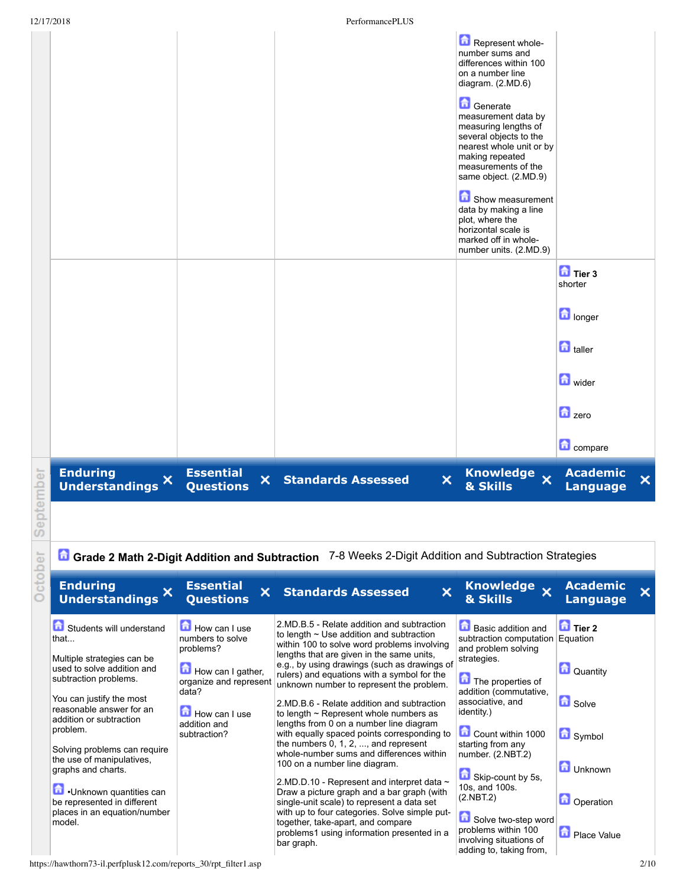|      | 12/17/2018                          |                                                        | PerformancePLUS           |                         |                                                                                                                                                                                  |                                                             |
|------|-------------------------------------|--------------------------------------------------------|---------------------------|-------------------------|----------------------------------------------------------------------------------------------------------------------------------------------------------------------------------|-------------------------------------------------------------|
|      |                                     |                                                        |                           |                         | Represent whole-<br>number sums and<br>differences within 100<br>on a number line<br>diagram. (2.MD.6)                                                                           |                                                             |
|      |                                     |                                                        |                           |                         | Generate<br>measurement data by<br>measuring lengths of<br>several objects to the<br>nearest whole unit or by<br>making repeated<br>measurements of the<br>same object. (2.MD.9) |                                                             |
|      |                                     |                                                        |                           |                         | Show measurement<br>data by making a line<br>plot, where the<br>horizontal scale is<br>marked off in whole-<br>number units. (2.MD.9)                                            |                                                             |
|      |                                     |                                                        |                           |                         |                                                                                                                                                                                  | $\overline{a}$ Tier 3<br>shorter                            |
|      |                                     |                                                        |                           |                         |                                                                                                                                                                                  | <b>n</b> longer                                             |
|      |                                     |                                                        |                           |                         |                                                                                                                                                                                  | <b>n</b> taller                                             |
|      |                                     |                                                        |                           |                         |                                                                                                                                                                                  | <b>n</b> wider                                              |
|      |                                     |                                                        |                           |                         |                                                                                                                                                                                  | $\frac{1}{2}$ zero                                          |
|      |                                     |                                                        |                           |                         |                                                                                                                                                                                  | <b>n</b> compare                                            |
| mber | <b>Enduring</b><br>Understandings X | <b>Essential</b><br>$\mathsf{x}^-$<br><b>Questions</b> | <b>Standards Assessed</b> | $\overline{\mathsf{x}}$ | Knowledge x<br>& Skills                                                                                                                                                          | <b>Academic</b><br>$\boldsymbol{\times}$<br><b>Language</b> |

October Septe

**G** Grade 2 Math 2-Digit Addition and Subtraction 7-8 Weeks 2-Digit Addition and Subtraction Strategies

| <b>Enduring</b><br><b>Understandings</b>                                                                                                                                                                                                                                                                                                                                                                   | <b>Essential</b><br>×<br><b>Questions</b>                                                                                                                             | ×<br><b>Standards Assessed</b>                                                                                                                                                                                                                                                                                                                                                                                                                                                                                                                                                                                                                                                                                                                                                                                                                                                                                                                         | Knowledge x<br>& Skills                                                                                                                                                                                                                                                                                                                                                                          | <b>Academic</b><br><b>Language</b>                                                                                      |  |
|------------------------------------------------------------------------------------------------------------------------------------------------------------------------------------------------------------------------------------------------------------------------------------------------------------------------------------------------------------------------------------------------------------|-----------------------------------------------------------------------------------------------------------------------------------------------------------------------|--------------------------------------------------------------------------------------------------------------------------------------------------------------------------------------------------------------------------------------------------------------------------------------------------------------------------------------------------------------------------------------------------------------------------------------------------------------------------------------------------------------------------------------------------------------------------------------------------------------------------------------------------------------------------------------------------------------------------------------------------------------------------------------------------------------------------------------------------------------------------------------------------------------------------------------------------------|--------------------------------------------------------------------------------------------------------------------------------------------------------------------------------------------------------------------------------------------------------------------------------------------------------------------------------------------------------------------------------------------------|-------------------------------------------------------------------------------------------------------------------------|--|
| Students will understand<br>that<br>Multiple strategies can be<br>used to solve addition and<br>subtraction problems.<br>You can justify the most<br>reasonable answer for an<br>addition or subtraction<br>problem.<br>Solving problems can require<br>the use of manipulatives,<br>graphs and charts.<br>Unknown quantities can<br>be represented in different<br>places in an equation/number<br>model. | $\Box$ How can I use<br>numbers to solve<br>problems?<br>How can I gather,<br>organize and represent<br>data?<br><b>How can I use</b><br>addition and<br>subtraction? | 2.MD.B.5 - Relate addition and subtraction<br>to length $\sim$ Use addition and subtraction<br>within 100 to solve word problems involving<br>lengths that are given in the same units,<br>e.g., by using drawings (such as drawings of<br>rulers) and equations with a symbol for the<br>unknown number to represent the problem.<br>2.MD.B.6 - Relate addition and subtraction<br>to length $\sim$ Represent whole numbers as<br>lengths from 0 on a number line diagram<br>with equally spaced points corresponding to<br>the numbers $0, 1, 2, \ldots$ and represent<br>whole-number sums and differences within<br>100 on a number line diagram.<br>2.MD.D.10 - Represent and interpret data $\sim$<br>Draw a picture graph and a bar graph (with<br>single-unit scale) to represent a data set<br>with up to four categories. Solve simple put-<br>together, take-apart, and compare<br>problems1 using information presented in a<br>bar graph. | ы<br>Basic addition and<br>subtraction computation<br>and problem solving<br>strategies.<br>The properties of<br>addition (commutative,<br>associative, and<br>identity.)<br>Count within 1000<br>starting from any<br>number. (2.NBT.2)<br>Skip-count by 5s,<br>10s, and 100s.<br>(2.NBT.2)<br>Solve two-step word<br>problems within 100<br>involving situations of<br>adding to, taking from, | $\blacksquare$ Tier 2<br>Equation<br>Quantity<br><b>D</b> Solve<br>Symbol<br>Unknown<br><b>Operation</b><br>Place Value |  |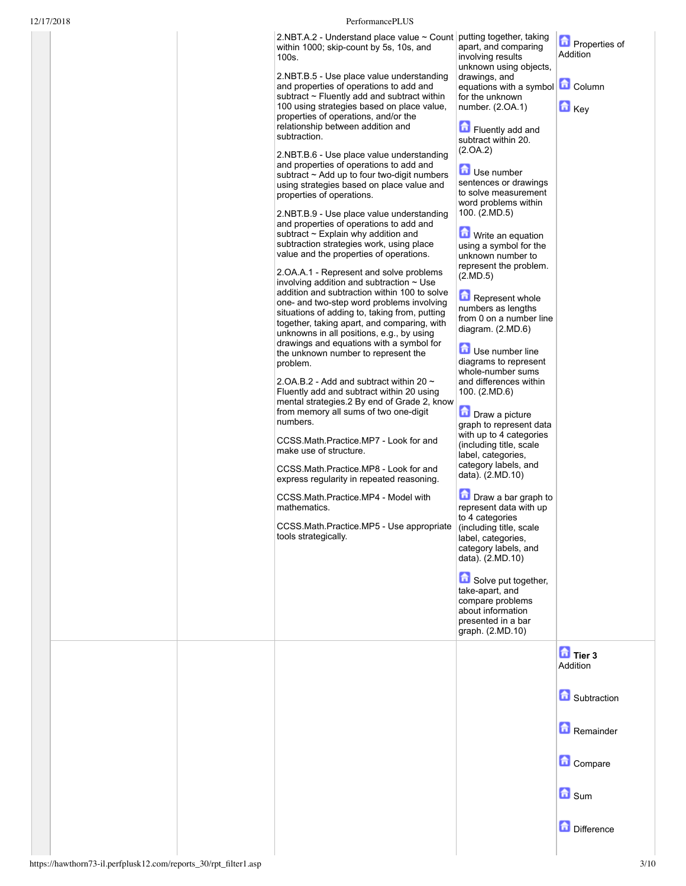## 12/17/2018 PerformancePLUS

| 2.NBT.A.2 - Understand place value ~ Count   putting together, taking |                      |
|-----------------------------------------------------------------------|----------------------|
| within 1000; skip-count by 5s, 10s, and                               | apart, and comparing |
| <sup>⊥</sup> 100s.                                                    | involving results    |
|                                                                       |                      |

2.NBT.B.5 - Use place value understanding and properties of operations to add and subtract  $\sim$  Fluently add and subtract within 100 using strategies based on place value, properties of operations, and/or the relationship between addition and subtraction.

2.NBT.B.6 - Use place value understanding and properties of operations to add and subtract  $\sim$  Add up to four two-digit numbers using strategies based on place value and properties of operations.

2.NBT.B.9 Use place value understanding and properties of operations to add and subtract ~ Explain why addition and subtraction strategies work, using place value and the properties of operations.

2.OA.A.1 Represent and solve problems involving addition and subtraction  $\sim$  Use addition and subtraction within 100 to solve one- and two-step word problems involving situations of adding to, taking from, putting together, taking apart, and comparing, with unknowns in all positions, e.g., by using drawings and equations with a symbol for the unknown number to represent the problem.

2.OA.B.2 - Add and subtract within 20  $\sim$ Fluently add and subtract within 20 using mental strategies.2 By end of Grade 2, know from memory all sums of two one-digit numbers.

CCSS.Math.Practice.MP7 Look for and make use of structure.

CCSS.Math.Practice.MP8 Look for and express regularity in repeated reasoning.

CCSS.Math.Practice.MP4 - Model with mathematics.

CCSS.Math.Practice.MP5 - Use appropriate tools strategically.

involving results unknown using objects, drawings, and equations with a symbol **LI** Column for the unknown number. (2.OA.1) **Ed** Key

**Properties of** Addition

Fluently add and subtract within 20. (2.OA.2)

Use number sentences or drawings to solve measurement word problems within 100. (2.MD.5)

**Write an equation** using a symbol for the unknown number to represent the problem. (2.MD.5)

**Represent whole** numbers as lengths from 0 on a number line diagram. (2.MD.6)

**Use number line** diagrams to represent whole-number sums and differences within 100. (2.MD.6)

**D** Draw a picture graph to represent data with up to 4 categories (including title, scale label, categories, category labels, and data). (2.MD.10)

Draw a bar graph to represent data with up to 4 categories (including title, scale label, categories, category labels, and data). (2.MD.10)

Solve put together, take-apart, and compare problems about information presented in a bar graph. (2.MD.10)

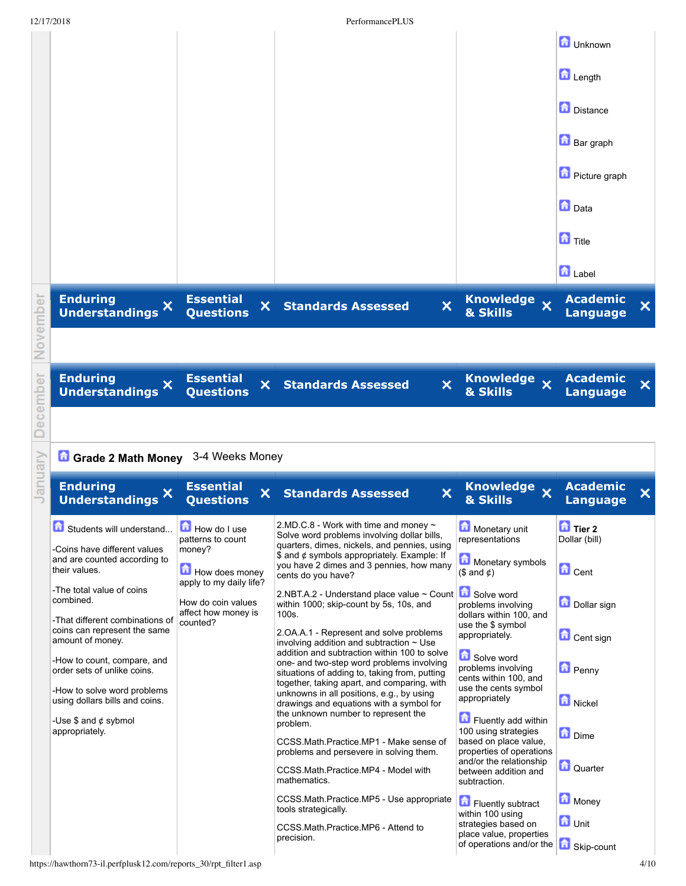|          | 12/17/2018                                                                          |                                           | PerformancePLUS                                                                                                                            |                                                                                                      |                                                                 |
|----------|-------------------------------------------------------------------------------------|-------------------------------------------|--------------------------------------------------------------------------------------------------------------------------------------------|------------------------------------------------------------------------------------------------------|-----------------------------------------------------------------|
|          |                                                                                     |                                           |                                                                                                                                            |                                                                                                      | <b>d</b> Unknown                                                |
|          |                                                                                     |                                           |                                                                                                                                            |                                                                                                      | Length                                                          |
|          |                                                                                     |                                           |                                                                                                                                            |                                                                                                      | Distance                                                        |
|          |                                                                                     |                                           |                                                                                                                                            |                                                                                                      | <b>Bar</b> graph                                                |
|          |                                                                                     |                                           |                                                                                                                                            |                                                                                                      | <b>D</b> Picture graph                                          |
|          |                                                                                     |                                           |                                                                                                                                            |                                                                                                      | <b>D</b> Data                                                   |
|          |                                                                                     |                                           |                                                                                                                                            |                                                                                                      | $\blacksquare$ Title                                            |
|          |                                                                                     |                                           |                                                                                                                                            |                                                                                                      | <b>D</b> Label                                                  |
|          | <b>Enduring</b><br>Understandings X                                                 | <b>Essential</b><br>×<br><b>Questions</b> | ×<br><b>Standards Assessed</b>                                                                                                             | Knowledge x<br>& Skills                                                                              | <b>Academic</b><br>×<br><b>Language</b>                         |
| November |                                                                                     |                                           |                                                                                                                                            |                                                                                                      |                                                                 |
|          | <b>Enduring</b><br>Understandings X                                                 | <b>Essential</b><br>×<br><b>Questions</b> | $\overline{\mathsf{x}}$<br><b>Standards Assessed</b>                                                                                       | Knowledge x<br>& Skills                                                                              | <b>Academic</b><br>$\overline{\mathsf{x}}$<br><b>Language</b>   |
| December |                                                                                     |                                           |                                                                                                                                            |                                                                                                      |                                                                 |
|          | Grade 2 Math Money 3-4 Weeks Money                                                  |                                           |                                                                                                                                            |                                                                                                      |                                                                 |
| January  | <b>Enduring</b><br>Understandings X                                                 | <b>Essential</b><br>×<br><b>Questions</b> | $\boldsymbol{\mathsf{x}}$<br><b>Standards Assessed</b>                                                                                     | Knowledge<br>& Skills                                                                                | <b>Academic</b><br>$\boldsymbol{\mathsf{x}}$<br><b>Language</b> |
|          | Students will understand                                                            | How do I use<br>patterns to count         | 2.MD.C.8 - Work with time and money $\sim$<br>Solve word problems involving dollar bills,<br>quarters, dimes, nickels, and pennies, using  | Monetary unit<br>representations                                                                     | $\overline{a}$ Tier 2<br>Dollar (bill)                          |
|          | -Coins have different values<br>and are counted according to<br>their values.       | money?<br>How does money                  | \$ and $\phi$ symbols appropriately. Example: If<br>you have 2 dimes and 3 pennies, how many<br>cents do you have?                         | Monetary symbols<br>$($ and $\phi$)$                                                                 | <b>D</b> Cent                                                   |
|          | -The total value of coins<br>combined.                                              | apply to my daily life?                   |                                                                                                                                            |                                                                                                      |                                                                 |
|          |                                                                                     | How do coin values<br>affect how money is | 2.NBT.A.2 - Understand place value ~ Count<br>within 1000; skip-count by 5s, 10s, and<br>100s.                                             | Solve word<br>problems involving<br>dollars within 100, and                                          | Dollar sign                                                     |
|          | -That different combinations of<br>coins can represent the same<br>amount of money. | counted?                                  | 2. OA. A. 1 - Represent and solve problems<br>involving addition and subtraction $\sim$ Use                                                | use the \$ symbol<br>appropriately.                                                                  | Cent sign                                                       |
|          | -How to count, compare, and<br>order sets of unlike coins.                          |                                           | addition and subtraction within 100 to solve<br>one- and two-step word problems involving<br>situations of adding to, taking from, putting | Solve word<br>problems involving<br>cents within 100, and                                            | <b>D</b> Penny                                                  |
|          | -How to solve word problems<br>using dollars bills and coins.                       |                                           | together, taking apart, and comparing, with<br>unknowns in all positions, e.g., by using<br>drawings and equations with a symbol for       | use the cents symbol<br>appropriately                                                                | Nickel                                                          |
|          | -Use $$$ and $¢$ sybmol<br>appropriately.                                           |                                           | the unknown number to represent the<br>problem.                                                                                            | Fluently add within<br>100 using strategies                                                          | <b>D</b> Dime                                                   |
|          |                                                                                     |                                           | CCSS.Math.Practice.MP1 - Make sense of<br>problems and persevere in solving them.<br>CCSS.Math.Practice.MP4 - Model with<br>mathematics.   | based on place value,<br>properties of operations<br>and/or the relationship<br>between addition and | Quarter                                                         |
|          |                                                                                     |                                           | CCSS. Math. Practice. MP5 - Use appropriate<br>tools strategically.                                                                        | subtraction.<br>Fluently subtract                                                                    | Money                                                           |
|          |                                                                                     |                                           | CCSS.Math.Practice.MP6 - Attend to<br>precision.                                                                                           | within 100 using<br>strategies based on<br>place value, properties<br>of operations and/or the       | <b>n</b> Unit<br>Skip-count                                     |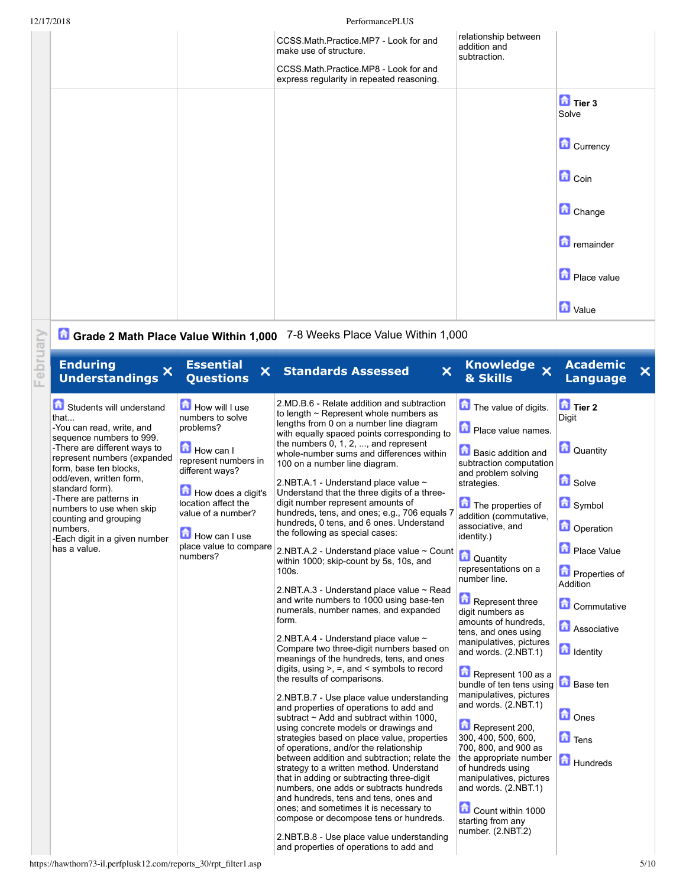|          | 12/17/2018                                                                                                                                                                                                                                                                                                                                                                   |                                                                                                                                                                                                                                   | PerformancePLUS                                                                                                                                                                                                                                                                                                                                                                                                                                                                                                                                                                                                                                                                                                                                                                                                                                                                                                                                                                                                                                                                                                                                                                                                                                                                                                                                                                                                                                                                                                                                                                                                                                                                          |                                                                                                                                                                                                                                                                                                                                                                                                                                                                                                                                                                                                                                                                                                                                                                |                                                                                                                                                                                                                                                               |      |
|----------|------------------------------------------------------------------------------------------------------------------------------------------------------------------------------------------------------------------------------------------------------------------------------------------------------------------------------------------------------------------------------|-----------------------------------------------------------------------------------------------------------------------------------------------------------------------------------------------------------------------------------|------------------------------------------------------------------------------------------------------------------------------------------------------------------------------------------------------------------------------------------------------------------------------------------------------------------------------------------------------------------------------------------------------------------------------------------------------------------------------------------------------------------------------------------------------------------------------------------------------------------------------------------------------------------------------------------------------------------------------------------------------------------------------------------------------------------------------------------------------------------------------------------------------------------------------------------------------------------------------------------------------------------------------------------------------------------------------------------------------------------------------------------------------------------------------------------------------------------------------------------------------------------------------------------------------------------------------------------------------------------------------------------------------------------------------------------------------------------------------------------------------------------------------------------------------------------------------------------------------------------------------------------------------------------------------------------|----------------------------------------------------------------------------------------------------------------------------------------------------------------------------------------------------------------------------------------------------------------------------------------------------------------------------------------------------------------------------------------------------------------------------------------------------------------------------------------------------------------------------------------------------------------------------------------------------------------------------------------------------------------------------------------------------------------------------------------------------------------|---------------------------------------------------------------------------------------------------------------------------------------------------------------------------------------------------------------------------------------------------------------|------|
|          |                                                                                                                                                                                                                                                                                                                                                                              |                                                                                                                                                                                                                                   | CCSS.Math.Practice.MP7 - Look for and<br>make use of structure.                                                                                                                                                                                                                                                                                                                                                                                                                                                                                                                                                                                                                                                                                                                                                                                                                                                                                                                                                                                                                                                                                                                                                                                                                                                                                                                                                                                                                                                                                                                                                                                                                          | relationship between<br>addition and<br>subtraction.                                                                                                                                                                                                                                                                                                                                                                                                                                                                                                                                                                                                                                                                                                           |                                                                                                                                                                                                                                                               |      |
|          |                                                                                                                                                                                                                                                                                                                                                                              |                                                                                                                                                                                                                                   | CCSS.Math.Practice.MP8 - Look for and<br>express regularity in repeated reasoning.                                                                                                                                                                                                                                                                                                                                                                                                                                                                                                                                                                                                                                                                                                                                                                                                                                                                                                                                                                                                                                                                                                                                                                                                                                                                                                                                                                                                                                                                                                                                                                                                       |                                                                                                                                                                                                                                                                                                                                                                                                                                                                                                                                                                                                                                                                                                                                                                |                                                                                                                                                                                                                                                               |      |
|          |                                                                                                                                                                                                                                                                                                                                                                              |                                                                                                                                                                                                                                   |                                                                                                                                                                                                                                                                                                                                                                                                                                                                                                                                                                                                                                                                                                                                                                                                                                                                                                                                                                                                                                                                                                                                                                                                                                                                                                                                                                                                                                                                                                                                                                                                                                                                                          |                                                                                                                                                                                                                                                                                                                                                                                                                                                                                                                                                                                                                                                                                                                                                                | <b>D</b> Tier 3<br>Solve                                                                                                                                                                                                                                      |      |
|          |                                                                                                                                                                                                                                                                                                                                                                              |                                                                                                                                                                                                                                   |                                                                                                                                                                                                                                                                                                                                                                                                                                                                                                                                                                                                                                                                                                                                                                                                                                                                                                                                                                                                                                                                                                                                                                                                                                                                                                                                                                                                                                                                                                                                                                                                                                                                                          |                                                                                                                                                                                                                                                                                                                                                                                                                                                                                                                                                                                                                                                                                                                                                                | Currency                                                                                                                                                                                                                                                      |      |
|          |                                                                                                                                                                                                                                                                                                                                                                              |                                                                                                                                                                                                                                   |                                                                                                                                                                                                                                                                                                                                                                                                                                                                                                                                                                                                                                                                                                                                                                                                                                                                                                                                                                                                                                                                                                                                                                                                                                                                                                                                                                                                                                                                                                                                                                                                                                                                                          |                                                                                                                                                                                                                                                                                                                                                                                                                                                                                                                                                                                                                                                                                                                                                                | <b>n</b> Coin                                                                                                                                                                                                                                                 |      |
|          |                                                                                                                                                                                                                                                                                                                                                                              |                                                                                                                                                                                                                                   |                                                                                                                                                                                                                                                                                                                                                                                                                                                                                                                                                                                                                                                                                                                                                                                                                                                                                                                                                                                                                                                                                                                                                                                                                                                                                                                                                                                                                                                                                                                                                                                                                                                                                          |                                                                                                                                                                                                                                                                                                                                                                                                                                                                                                                                                                                                                                                                                                                                                                | Change                                                                                                                                                                                                                                                        |      |
|          |                                                                                                                                                                                                                                                                                                                                                                              |                                                                                                                                                                                                                                   |                                                                                                                                                                                                                                                                                                                                                                                                                                                                                                                                                                                                                                                                                                                                                                                                                                                                                                                                                                                                                                                                                                                                                                                                                                                                                                                                                                                                                                                                                                                                                                                                                                                                                          |                                                                                                                                                                                                                                                                                                                                                                                                                                                                                                                                                                                                                                                                                                                                                                | <b>n</b> remainder                                                                                                                                                                                                                                            |      |
|          |                                                                                                                                                                                                                                                                                                                                                                              |                                                                                                                                                                                                                                   |                                                                                                                                                                                                                                                                                                                                                                                                                                                                                                                                                                                                                                                                                                                                                                                                                                                                                                                                                                                                                                                                                                                                                                                                                                                                                                                                                                                                                                                                                                                                                                                                                                                                                          |                                                                                                                                                                                                                                                                                                                                                                                                                                                                                                                                                                                                                                                                                                                                                                | Place value                                                                                                                                                                                                                                                   |      |
|          |                                                                                                                                                                                                                                                                                                                                                                              |                                                                                                                                                                                                                                   |                                                                                                                                                                                                                                                                                                                                                                                                                                                                                                                                                                                                                                                                                                                                                                                                                                                                                                                                                                                                                                                                                                                                                                                                                                                                                                                                                                                                                                                                                                                                                                                                                                                                                          |                                                                                                                                                                                                                                                                                                                                                                                                                                                                                                                                                                                                                                                                                                                                                                | <b>d</b> Value                                                                                                                                                                                                                                                |      |
|          |                                                                                                                                                                                                                                                                                                                                                                              |                                                                                                                                                                                                                                   | Grade 2 Math Place Value Within 1,000 7-8 Weeks Place Value Within 1,000                                                                                                                                                                                                                                                                                                                                                                                                                                                                                                                                                                                                                                                                                                                                                                                                                                                                                                                                                                                                                                                                                                                                                                                                                                                                                                                                                                                                                                                                                                                                                                                                                 |                                                                                                                                                                                                                                                                                                                                                                                                                                                                                                                                                                                                                                                                                                                                                                |                                                                                                                                                                                                                                                               |      |
| February | <b>Enduring</b><br>Understandings X                                                                                                                                                                                                                                                                                                                                          | <b>Essential</b><br>$\mathsf{x}$ .<br><b>Questions</b>                                                                                                                                                                            | $\boldsymbol{\mathsf{x}}$<br><b>Standards Assessed</b>                                                                                                                                                                                                                                                                                                                                                                                                                                                                                                                                                                                                                                                                                                                                                                                                                                                                                                                                                                                                                                                                                                                                                                                                                                                                                                                                                                                                                                                                                                                                                                                                                                   | Knowledge x<br>& Skills                                                                                                                                                                                                                                                                                                                                                                                                                                                                                                                                                                                                                                                                                                                                        | <b>Academic</b><br><b>Language</b>                                                                                                                                                                                                                            | ×    |
|          | Students will understand<br>that<br>-You can read, write, and<br>sequence numbers to 999.<br>-There are different ways to<br>represent numbers (expanded<br>form, base ten blocks,<br>odd/even, written form,<br>standard form).<br>-There are patterns in<br>numbers to use when skip<br>counting and grouping<br>numbers.<br>-Each digit in a given number<br>has a value. | How will I use<br>numbers to solve<br>problems?<br>How can I<br>represent numbers in<br>different ways?<br>How does a digit's<br>location affect the<br>value of a number?<br>How can I use<br>place value to compare<br>numbers? | 2.MD.B.6 - Relate addition and subtraction<br>to length $\sim$ Represent whole numbers as<br>lengths from 0 on a number line diagram<br>with equally spaced points corresponding to<br>the numbers $0, 1, 2, \ldots$ and represent<br>whole-number sums and differences within<br>100 on a number line diagram.<br>2.NBT.A.1 - Understand place value ~<br>Understand that the three digits of a three-<br>digit number represent amounts of<br>hundreds, tens, and ones; e.g., 706 equals 7<br>hundreds, 0 tens, and 6 ones. Understand<br>the following as special cases:<br>2.NBT.A.2 - Understand place value ~ Count<br>within 1000; skip-count by 5s, 10s, and<br>100s.<br>2.NBT.A.3 - Understand place value ~ Read<br>and write numbers to 1000 using base-ten<br>numerals, number names, and expanded<br>form.<br>2.NBT.A.4 - Understand place value ~<br>Compare two three-digit numbers based on<br>meanings of the hundreds, tens, and ones<br>digits, using $>$ , $=$ , and $\le$ symbols to record<br>the results of comparisons.<br>2.NBT.B.7 - Use place value understanding<br>and properties of operations to add and<br>subtract $\sim$ Add and subtract within 1000.<br>using concrete models or drawings and<br>strategies based on place value, properties<br>of operations, and/or the relationship<br>between addition and subtraction; relate the<br>strategy to a written method. Understand<br>that in adding or subtracting three-digit<br>numbers, one adds or subtracts hundreds<br>and hundreds, tens and tens, ones and<br>ones; and sometimes it is necessary to<br>compose or decompose tens or hundreds.<br>2.NBT.B.8 - Use place value understanding | The value of digits.<br>Place value names.<br><b>Basic addition and</b><br>subtraction computation<br>and problem solving<br>strategies.<br>The properties of<br>addition (commutative,<br>associative, and<br>identity.)<br>Quantity<br>representations on a<br>number line.<br>Represent three<br>digit numbers as<br>amounts of hundreds.<br>tens, and ones using<br>manipulatives, pictures<br>and words. (2.NBT.1)<br>Represent 100 as a<br>bundle of ten tens using<br>manipulatives, pictures<br>and words. (2.NBT.1)<br>Represent 200,<br>300, 400, 500, 600,<br>700, 800, and 900 as<br>the appropriate number<br>of hundreds using<br>manipulatives, pictures<br>and words. (2.NBT.1)<br>Count within 1000<br>starting from any<br>number. (2.NBT.2) | <b>D</b> Tier 2<br>Digit<br>Quantity<br><b>G</b> Solve<br>Symbol<br><b>D</b> Operation<br>Place Value<br>Properties of<br>Addition<br>Commutative<br><b>Associative</b><br><b>identity</b><br><b>b</b> Base ten<br><b>n</b> Ones<br><b>D</b> Tens<br>Hundreds |      |
|          | https://hawthorn73-il.perfplusk12.com/reports_30/rpt_filter1.asp                                                                                                                                                                                                                                                                                                             |                                                                                                                                                                                                                                   | and properties of operations to add and                                                                                                                                                                                                                                                                                                                                                                                                                                                                                                                                                                                                                                                                                                                                                                                                                                                                                                                                                                                                                                                                                                                                                                                                                                                                                                                                                                                                                                                                                                                                                                                                                                                  |                                                                                                                                                                                                                                                                                                                                                                                                                                                                                                                                                                                                                                                                                                                                                                |                                                                                                                                                                                                                                                               | 5/10 |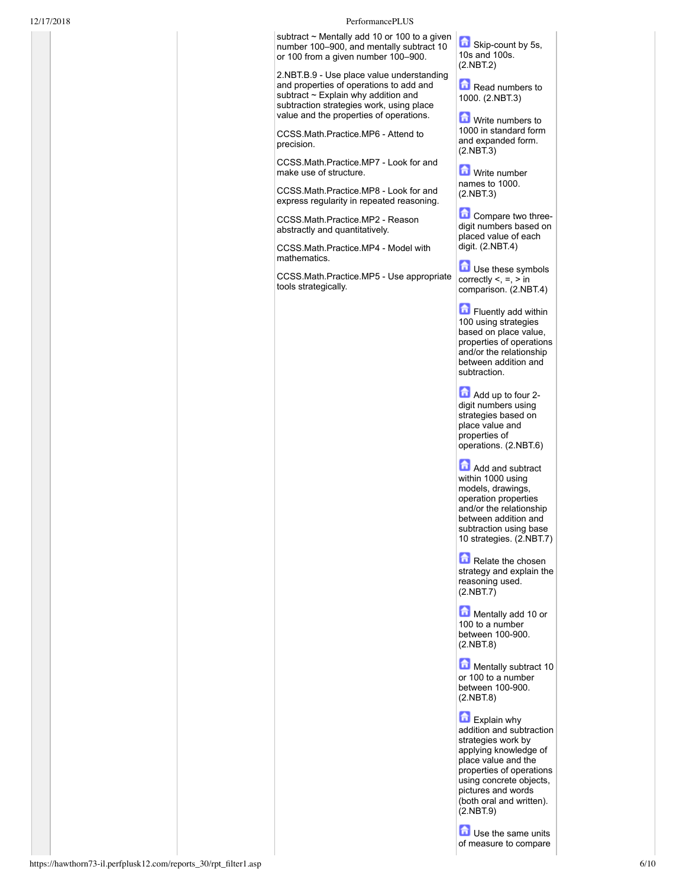## 12/17/2018 PerformancePLUS

subtract ~ Mentally add 10 or 100 to a given number 100–900, and mentally subtract 10 or 100 from a given number 100-900.

2.NBT.B.9 - Use place value understanding and properties of operations to add and subtract  $\sim$  Explain why addition and subtraction strategies work, using place value and the properties of operations.

CCSS.Math.Practice.MP6 - Attend to precision.

CCSS.Math.Practice.MP7 Look for and make use of structure.

CCSS.Math.Practice.MP8 Look for and express regularity in repeated reasoning.

CCSS.Math.Practice.MP2 - Reason abstractly and quantitatively.

CCSS.Math.Practice.MP4 - Model with mathematics.

CCSS.Math.Practice.MP5 - Use appropriate tools strategically.

Skip-count by 5s, 10s and 100s. (2.NBT.2)

Read numbers to 1000. (2.NBT.3)

**M** Write numbers to 1000 in standard form and expanded form. (2.NBT.3)

**M** Write number names to 1000. (2.NBT.3)

**Compare two three**digit numbers based on placed value of each digit. (2.NBT.4)

**Use these symbols** correctly <, =, > in comparison. (2.NBT.4)

Fluently add within 100 using strategies based on place value, properties of operations and/or the relationship between addition and subtraction.

Add up to four 2digit numbers using strategies based on place value and properties of operations. (2.NBT.6)

**Add and subtract** within 1000 using models, drawings, operation properties and/or the relationship between addition and subtraction using base 10 strategies. (2.NBT.7)

Relate the chosen strategy and explain the reasoning used. (2.NBT.7)

Mentally add 10 or 100 to a number between 100-900. (2.NBT.8)

**Mentally subtract 10** or 100 to a number between 100-900. (2.NBT.8)

Explain why addition and subtraction strategies work by applying knowledge of place value and the properties of operations using concrete objects, pictures and words (both oral and written). (2.NBT.9)

**D** Use the same units of measure to compare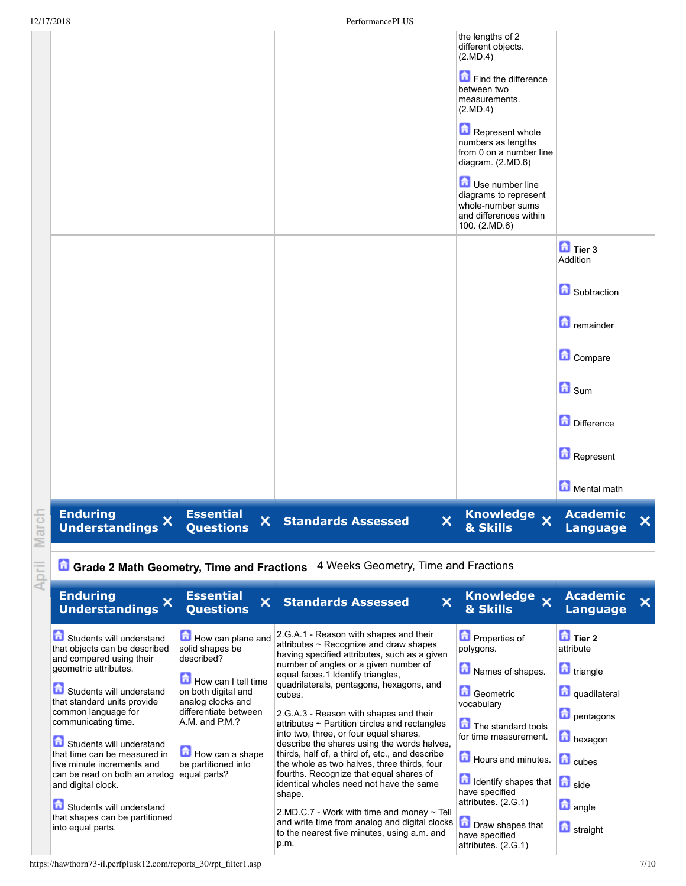|       | 12/17/2018                                                                                                                                                                                                                                                                                                             |                                                                                                                                                                                                            | PerformancePLUS                                                                                                                                                                                                                                                                                                                                                                                                                                                                                                                                            |                                                                                                                                                                                                                                                                                                                            |                                                                                                                                                   |   |
|-------|------------------------------------------------------------------------------------------------------------------------------------------------------------------------------------------------------------------------------------------------------------------------------------------------------------------------|------------------------------------------------------------------------------------------------------------------------------------------------------------------------------------------------------------|------------------------------------------------------------------------------------------------------------------------------------------------------------------------------------------------------------------------------------------------------------------------------------------------------------------------------------------------------------------------------------------------------------------------------------------------------------------------------------------------------------------------------------------------------------|----------------------------------------------------------------------------------------------------------------------------------------------------------------------------------------------------------------------------------------------------------------------------------------------------------------------------|---------------------------------------------------------------------------------------------------------------------------------------------------|---|
|       |                                                                                                                                                                                                                                                                                                                        |                                                                                                                                                                                                            |                                                                                                                                                                                                                                                                                                                                                                                                                                                                                                                                                            | the lengths of 2<br>different objects.<br>(2.MD.4)<br>Find the difference<br>between two<br>measurements.<br>(2.MD.4)<br>Represent whole<br>numbers as lengths<br>from 0 on a number line<br>diagram. (2.MD.6)<br>Use number line<br>diagrams to represent<br>whole-number sums<br>and differences within<br>100. (2.MD.6) |                                                                                                                                                   |   |
|       |                                                                                                                                                                                                                                                                                                                        |                                                                                                                                                                                                            |                                                                                                                                                                                                                                                                                                                                                                                                                                                                                                                                                            |                                                                                                                                                                                                                                                                                                                            | $\overline{a}$ Tier 3<br>Addition<br>Subtraction<br><b>D</b> remainder<br>Compare<br>$\blacksquare$ Sum<br>Difference<br>Represent<br>Mental math |   |
| March | <b>Enduring</b><br>×<br><b>Understandings</b>                                                                                                                                                                                                                                                                          | <b>Essential</b><br>×<br><b>Questions</b>                                                                                                                                                                  | <b>Standards Assessed</b><br>×                                                                                                                                                                                                                                                                                                                                                                                                                                                                                                                             | Knowledge x<br><b>&amp; Skills</b>                                                                                                                                                                                                                                                                                         | <b>Academic</b><br><b>Language</b>                                                                                                                | × |
| April |                                                                                                                                                                                                                                                                                                                        |                                                                                                                                                                                                            | <b>Li</b> Grade 2 Math Geometry, Time and Fractions 4 Weeks Geometry, Time and Fractions                                                                                                                                                                                                                                                                                                                                                                                                                                                                   |                                                                                                                                                                                                                                                                                                                            |                                                                                                                                                   |   |
|       | <b>Enduring</b><br>×<br><b>Understandings</b>                                                                                                                                                                                                                                                                          | <b>Essential</b><br>×<br><b>Questions</b>                                                                                                                                                                  | <b>Standards Assessed</b><br>×                                                                                                                                                                                                                                                                                                                                                                                                                                                                                                                             | Knowledge x<br>& Skills                                                                                                                                                                                                                                                                                                    | <b>Academic</b><br><b>Language</b>                                                                                                                | × |
|       | Students will understand<br>that objects can be described<br>and compared using their<br>geometric attributes.<br>Students will understand<br>that standard units provide<br>common language for<br>communicating time.<br>命<br>Students will understand<br>that time can be measured in<br>five minute increments and | How can plane and<br>solid shapes be<br>described?<br>How can I tell time<br>on both digital and<br>analog clocks and<br>differentiate between<br>A.M. and P.M.?<br>How can a shape<br>be partitioned into | 2.G.A.1 - Reason with shapes and their<br>attributes ~ Recognize and draw shapes<br>having specified attributes, such as a given<br>number of angles or a given number of<br>equal faces.1 Identify triangles,<br>quadrilaterals, pentagons, hexagons, and<br>cubes.<br>2.G.A.3 - Reason with shapes and their<br>attributes ~ Partition circles and rectangles<br>into two, three, or four equal shares,<br>describe the shares using the words halves,<br>thirds, half of, a third of, etc., and describe<br>the whole as two halves, three thirds, four | Properties of<br>polygons.<br>Names of shapes.<br>Geometric<br>vocabulary<br>The standard tools<br>for time measurement.<br>Hours and minutes.                                                                                                                                                                             | Tier 2<br>attribute<br><b>triangle</b><br>quadilateral<br><b>D</b> pentagons<br>hexagon<br><b>D</b> cubes                                         |   |

fourths. Recognize that equal shares of identical wholes need not have the same

Students will understand that shapes can be partitioned into equal parts.

can be read on both an analog

and digital clock.

shape.  $2.MD.C.7$  - Work with time and money  $\sim$  Tell and write time from analog and digital clocks and write time from analog and digital clocks<br>to the nearest five minutes, using a.m. and<br>have specified p.m.

equal parts?

https://hawthorn73-il.perfplusk12.com/reports\_30/rpt\_filter1.asp 7/10

Identify shapes that

side **a** angle

**h** straight

have specified attributes. (2.G.1)

have specified attributes. (2.G.1)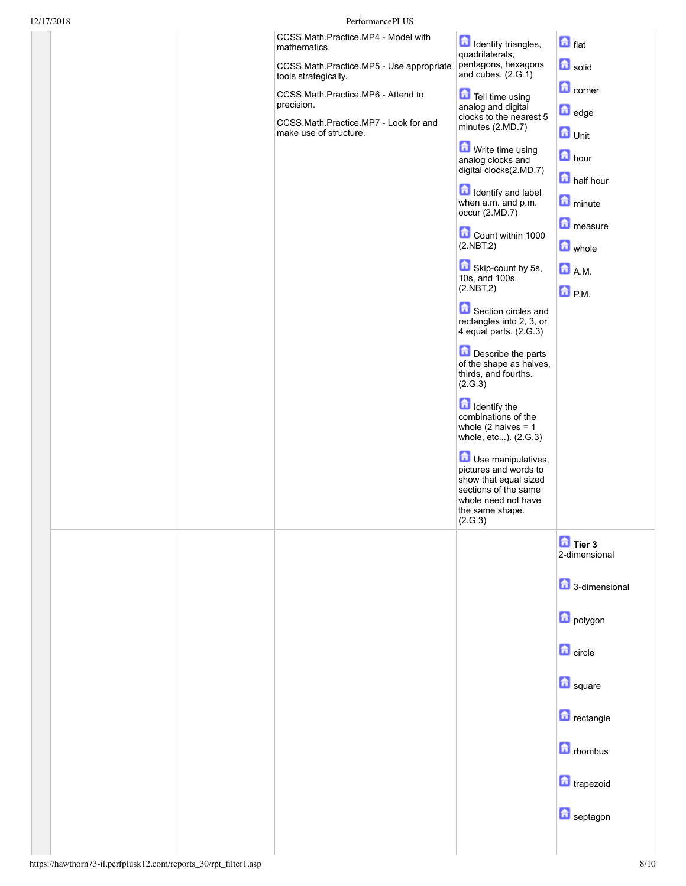| 12/17/2018 | PerformancePLUS                                                                           |                                                                                                                                                                                                                                                                                                                                                                                                                                                                                                                                                                                                                                                                      |                                                                                                                                                                                                |
|------------|-------------------------------------------------------------------------------------------|----------------------------------------------------------------------------------------------------------------------------------------------------------------------------------------------------------------------------------------------------------------------------------------------------------------------------------------------------------------------------------------------------------------------------------------------------------------------------------------------------------------------------------------------------------------------------------------------------------------------------------------------------------------------|------------------------------------------------------------------------------------------------------------------------------------------------------------------------------------------------|
|            | CCSS.Math.Practice.MP4 - Model with<br>mathematics.                                       | Identify triangles,<br>quadrilaterals,                                                                                                                                                                                                                                                                                                                                                                                                                                                                                                                                                                                                                               | $\mathbf{a}$ flat                                                                                                                                                                              |
|            | CCSS.Math.Practice.MP5 - Use appropriate<br>tools strategically.                          | pentagons, hexagons<br>and cubes. $(2.G.1)$                                                                                                                                                                                                                                                                                                                                                                                                                                                                                                                                                                                                                          | a solid                                                                                                                                                                                        |
|            | CCSS.Math.Practice.MP6 - Attend to<br>precision.<br>CCSS.Math.Practice.MP7 - Look for and | Tell time using<br>analog and digital<br>clocks to the nearest 5                                                                                                                                                                                                                                                                                                                                                                                                                                                                                                                                                                                                     | <b>n</b> corner<br>dedge                                                                                                                                                                       |
|            | make use of structure.                                                                    | minutes (2.MD.7)<br>Write time using<br>analog clocks and<br>digital clocks(2.MD.7)<br><b>d</b> Identify and label<br>when a.m. and p.m.<br>occur (2.MD.7)<br>Count within 1000<br>(2.NBT.2)<br>Skip-count by 5s,<br>10s, and 100s.<br>(2.NBT,2)<br>Section circles and<br>rectangles into 2, 3, or<br>4 equal parts. (2.G.3)<br>Describe the parts<br>of the shape as halves,<br>thirds, and fourths.<br>(2.G.3)<br><b>d</b> Identify the<br>combinations of the<br>whole $(2 \text{ halves} = 1$<br>whole, etc). (2.G.3)<br>Use manipulatives,<br>pictures and words to<br>show that equal sized<br>sections of the same<br>whole need not have<br>the same shape. | $\bullet$ Unit<br><b>n</b> hour<br><b>n</b> half hour<br>minute<br>measure<br><b>a</b> whole<br><b>D</b> AM<br>$\bigcap_{n=1}^{\infty} P_n M$                                                  |
|            |                                                                                           | (2.G.3)                                                                                                                                                                                                                                                                                                                                                                                                                                                                                                                                                                                                                                                              | $\frac{1}{2}$ Tier 3<br>2-dimensional<br>3-dimensional<br>polygon<br>$\bigcirc$ circle<br><b>d</b> square<br><b>n</b> rectangle<br><b>n</b> rhombus<br><b>n</b> trapezoid<br><b>n</b> septagon |
|            |                                                                                           |                                                                                                                                                                                                                                                                                                                                                                                                                                                                                                                                                                                                                                                                      |                                                                                                                                                                                                |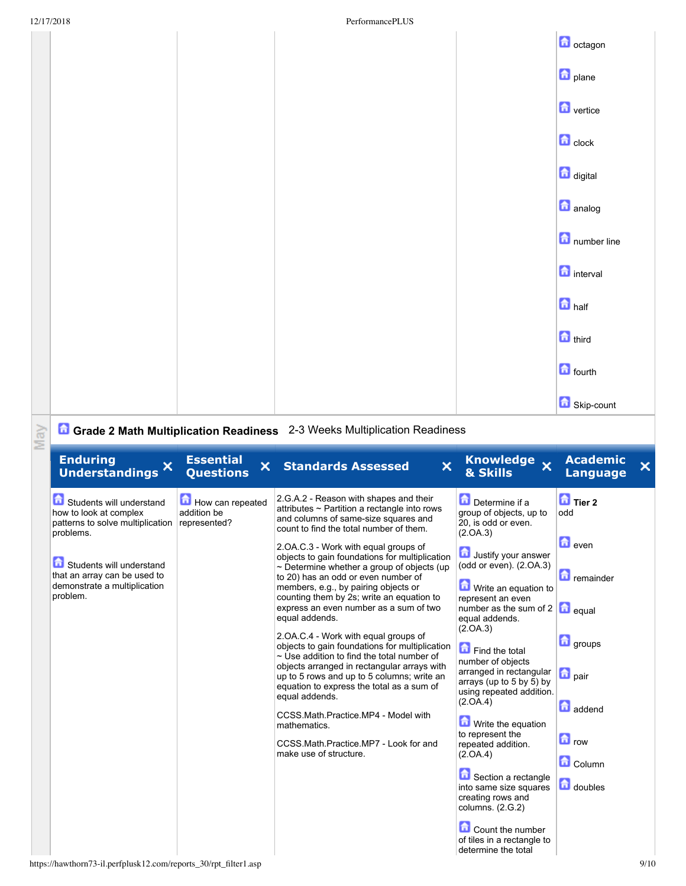| 12/17/2018     | PerformancePLUS |                                        |
|----------------|-----------------|----------------------------------------|
|                |                 | <b>D</b> octagon                       |
|                |                 | $\theta$ plane                         |
|                |                 | <b>n</b> vertice                       |
|                |                 | $\left  \frac{1}{\ln 2} \right $ clock |
|                |                 | digital                                |
|                |                 | <b>n</b> analog                        |
|                |                 | number line                            |
|                |                 | <b>n</b> interval                      |
|                |                 | $\Box$ half                            |
|                |                 | third                                  |
|                |                 | <b>n</b> fourth                        |
|                |                 | Skip-count                             |
| <b>Barnett</b> |                 |                                        |

## **May**

## **Grade 2 Math Multiplication Readiness** 23 Weeks Multiplication Readiness

| <b>Enduring</b><br><b>Understandings</b>                                                             | <b>Essential</b><br>×<br><b>Questions</b>       | $\mathsf{x}$<br><b>Standards Assessed</b>                                                                                                                                                                                                                                                                                         | Knowledge x<br>& Skills                                                                                                                                           | <b>Academic</b><br><b>Language</b>    |
|------------------------------------------------------------------------------------------------------|-------------------------------------------------|-----------------------------------------------------------------------------------------------------------------------------------------------------------------------------------------------------------------------------------------------------------------------------------------------------------------------------------|-------------------------------------------------------------------------------------------------------------------------------------------------------------------|---------------------------------------|
| Students will understand<br>how to look at complex<br>patterns to solve multiplication<br>problems.  | How can repeated<br>addition be<br>represented? | 2.G.A.2 - Reason with shapes and their<br>attributes ~ Partition a rectangle into rows<br>and columns of same-size squares and<br>count to find the total number of them.                                                                                                                                                         | Determine if a<br>group of objects, up to<br>20, is odd or even.<br>(2.0A.3)                                                                                      | $\overline{a}$ Tier 2<br>odd          |
| Students will understand<br>that an array can be used to<br>demonstrate a multiplication<br>problem. |                                                 | 2.OA.C.3 - Work with equal groups of<br>objects to gain foundations for multiplication<br>$\sim$ Determine whether a group of objects (up<br>to 20) has an odd or even number of<br>members, e.g., by pairing objects or<br>counting them by 2s; write an equation to<br>express an even number as a sum of two<br>equal addends. | Justify your answer<br>(odd or even). (2.OA.3)<br>Write an equation to<br>represent an even<br>number as the sum of $2 \mid \bullet \mid$ equal<br>equal addends. | $\bigcirc$ even<br><b>n</b> remainder |
|                                                                                                      |                                                 | 2. OA. C. 4 - Work with equal groups of<br>objects to gain foundations for multiplication<br>~ Use addition to find the total number of<br>objects arranged in rectangular arrays with<br>up to 5 rows and up to 5 columns; write an<br>equation to express the total as a sum of                                                 | (2.0A.3)<br>Find the total<br>number of objects<br>arranged in rectangular<br>arrays (up to 5 by 5) by<br>using repeated addition.                                | <b>d</b> groups<br><b>n</b> pair      |
|                                                                                                      |                                                 | equal addends.<br>CCSS.Math.Practice.MP4 - Model with<br>mathematics.                                                                                                                                                                                                                                                             | (2.0A.4)<br>Write the equation<br>to represent the                                                                                                                | addend<br>$\blacksquare$ row          |
|                                                                                                      |                                                 | CCSS.Math.Practice.MP7 - Look for and<br>make use of structure.                                                                                                                                                                                                                                                                   | repeated addition.<br>(2.0A.4)<br>Section a rectangle<br>into same size squares                                                                                   | Column<br>doubles                     |
|                                                                                                      |                                                 |                                                                                                                                                                                                                                                                                                                                   | creating rows and<br>columns. (2.G.2)<br>Count the number<br>of tiles in a rectangle to                                                                           |                                       |
| https://hawthorn73-il.perfplusk12.com/reports_30/rpt_filter1.asp                                     |                                                 |                                                                                                                                                                                                                                                                                                                                   | determine the total                                                                                                                                               |                                       |